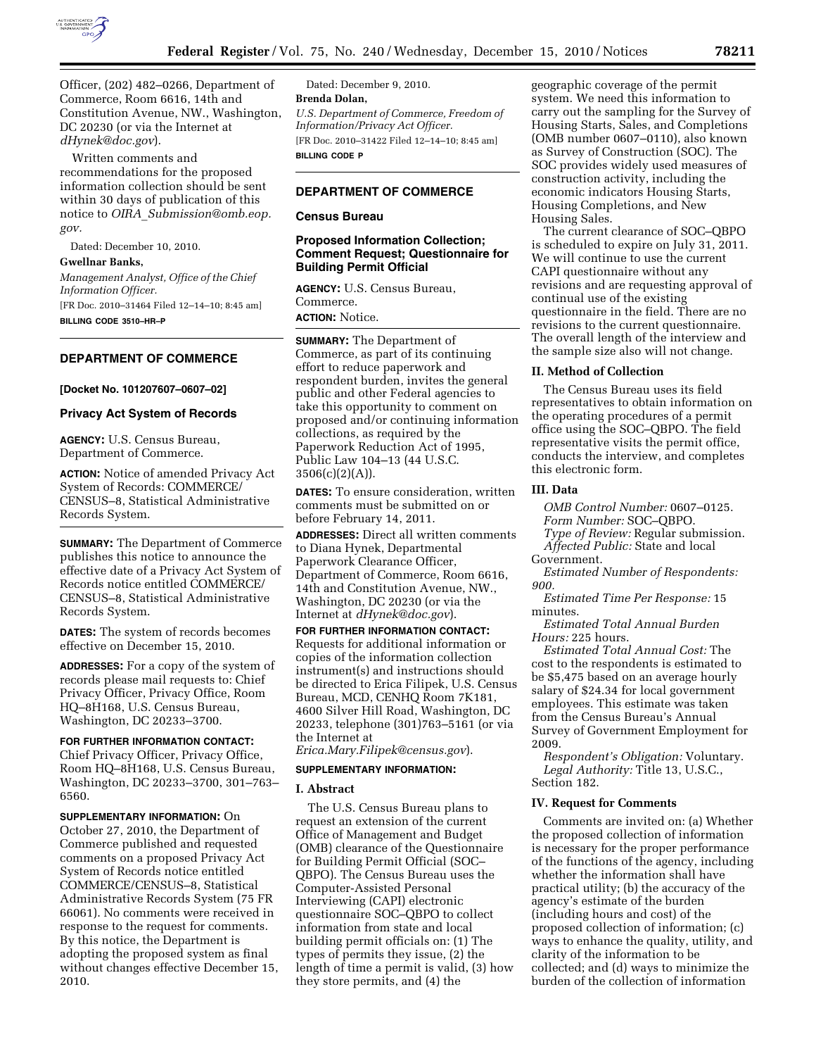

Officer, (202) 482–0266, Department of Commerce, Room 6616, 14th and Constitution Avenue, NW., Washington, DC 20230 (or via the Internet at *[dHynek@doc.gov](mailto:dHynek@doc.gov)*).

Written comments and recommendations for the proposed information collection should be sent within 30 days of publication of this notice to *OIRA*\_*[Submission@omb.eop.](mailto:OIRA_Submission@omb.eop.gov) gov.* 

Dated: December 10, 2010.

#### **Gwellnar Banks,**

*Management Analyst, Office of the Chief Information Officer.*  [FR Doc. 2010–31464 Filed 12–14–10; 8:45 am]

**BILLING CODE 3510–HR–P** 

# **DEPARTMENT OF COMMERCE**

**[Docket No. 101207607–0607–02]** 

#### **Privacy Act System of Records**

**AGENCY:** U.S. Census Bureau, Department of Commerce.

**ACTION:** Notice of amended Privacy Act System of Records: COMMERCE/ CENSUS–8, Statistical Administrative Records System.

**SUMMARY:** The Department of Commerce publishes this notice to announce the effective date of a Privacy Act System of Records notice entitled COMMERCE/ CENSUS–8, Statistical Administrative Records System.

**DATES:** The system of records becomes effective on December 15, 2010.

**ADDRESSES:** For a copy of the system of records please mail requests to: Chief Privacy Officer, Privacy Office, Room HQ–8H168, U.S. Census Bureau, Washington, DC 20233–3700.

**FOR FURTHER INFORMATION CONTACT:**  Chief Privacy Officer, Privacy Office, Room HQ–8H168, U.S. Census Bureau, Washington, DC 20233–3700, 301–763– 6560.

**SUPPLEMENTARY INFORMATION:** On October 27, 2010, the Department of Commerce published and requested comments on a proposed Privacy Act System of Records notice entitled COMMERCE/CENSUS–8, Statistical Administrative Records System (75 FR 66061). No comments were received in response to the request for comments. By this notice, the Department is adopting the proposed system as final without changes effective December 15, 2010.

Dated: December 9, 2010. **Brenda Dolan,**  *U.S. Department of Commerce, Freedom of Information/Privacy Act Officer.*  [FR Doc. 2010–31422 Filed 12–14–10; 8:45 am] **BILLING CODE P** 

### **DEPARTMENT OF COMMERCE**

#### **Census Bureau**

### **Proposed Information Collection; Comment Request; Questionnaire for Building Permit Official**

**AGENCY:** U.S. Census Bureau, Commerce.

**ACTION:** Notice.

**SUMMARY:** The Department of Commerce, as part of its continuing effort to reduce paperwork and respondent burden, invites the general public and other Federal agencies to take this opportunity to comment on proposed and/or continuing information collections, as required by the Paperwork Reduction Act of 1995, Public Law 104–13 (44 U.S.C.  $3506(c)(2)(A)).$ 

**DATES:** To ensure consideration, written comments must be submitted on or before February 14, 2011.

**ADDRESSES:** Direct all written comments to Diana Hynek, Departmental Paperwork Clearance Officer, Department of Commerce, Room 6616, 14th and Constitution Avenue, NW., Washington, DC 20230 (or via the Internet at *[dHynek@doc.gov](mailto:dHynek@doc.gov)*).

**FOR FURTHER INFORMATION CONTACT:**  Requests for additional information or copies of the information collection instrument(s) and instructions should be directed to Erica Filipek, U.S. Census Bureau, MCD, CENHQ Room 7K181, 4600 Silver Hill Road, Washington, DC 20233, telephone (301)763–5161 (or via the Internet at

*[Erica.Mary.Filipek@census.gov](mailto:Erica.Mary.Filipek@census.gov)*).

# **SUPPLEMENTARY INFORMATION:**

#### **I. Abstract**

The U.S. Census Bureau plans to request an extension of the current Office of Management and Budget (OMB) clearance of the Questionnaire for Building Permit Official (SOC– QBPO). The Census Bureau uses the Computer-Assisted Personal Interviewing (CAPI) electronic questionnaire SOC–QBPO to collect information from state and local building permit officials on: (1) The types of permits they issue, (2) the length of time a permit is valid, (3) how they store permits, and (4) the

geographic coverage of the permit system. We need this information to carry out the sampling for the Survey of Housing Starts, Sales, and Completions (OMB number 0607–0110), also known as Survey of Construction (SOC). The SOC provides widely used measures of construction activity, including the economic indicators Housing Starts, Housing Completions, and New Housing Sales.

The current clearance of SOC–QBPO is scheduled to expire on July 31, 2011. We will continue to use the current CAPI questionnaire without any revisions and are requesting approval of continual use of the existing questionnaire in the field. There are no revisions to the current questionnaire. The overall length of the interview and the sample size also will not change.

### **II. Method of Collection**

The Census Bureau uses its field representatives to obtain information on the operating procedures of a permit office using the SOC–QBPO. The field representative visits the permit office, conducts the interview, and completes this electronic form.

# **III. Data**

*OMB Control Number:* 0607–0125. *Form Number:* SOC–QBPO.

*Type of Review:* Regular submission. *Affected Public:* State and local

Government.

*Estimated Number of Respondents: 900.* 

*Estimated Time Per Response:* 15 minutes.

*Estimated Total Annual Burden Hours:* 225 hours.

*Estimated Total Annual Cost:* The cost to the respondents is estimated to be \$5,475 based on an average hourly salary of \$24.34 for local government employees. This estimate was taken from the Census Bureau's Annual Survey of Government Employment for 2009.

*Respondent's Obligation:* Voluntary. *Legal Authority:* Title 13, U.S.C., Section 182.

### **IV. Request for Comments**

Comments are invited on: (a) Whether the proposed collection of information is necessary for the proper performance of the functions of the agency, including whether the information shall have practical utility; (b) the accuracy of the agency's estimate of the burden (including hours and cost) of the proposed collection of information; (c) ways to enhance the quality, utility, and clarity of the information to be collected; and (d) ways to minimize the burden of the collection of information